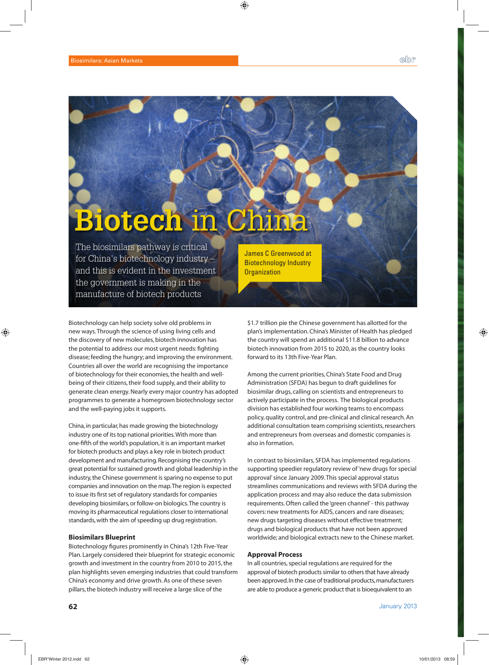# **Biotech** in China

The biosimilars pathway is critical for China's biotechnology industry – and this is evident in the investment the government is making in the manufacture of biotech products

Biotechnology can help society solve old problems in new ways. Through the science of using living cells and the discovery of new molecules, biotech innovation has the potential to address our most urgent needs: fighting disease; feeding the hungry; and improving the environment. Countries all over the world are recognising the importance of biotechnology for their economies, the health and wellbeing of their citizens, their food supply, and their ability to generate clean energy. Nearly every major country has adopted programmes to generate a homegrown biotechnology sector and the well-paying jobs it supports.

China, in particular, has made growing the biotechnology industry one of its top national priorities. With more than one-fifth of the world's population, it is an important market for biotech products and plays a key role in biotech product development and manufacturing. Recognising the country's great potential for sustained growth and global leadership in the industry, the Chinese government is sparing no expense to put companies and innovation on the map. The region is expected to issue its first set of regulatory standards for companies developing biosimilars, or follow-on biologics. The country is moving its pharmaceutical regulations closer to international standards, with the aim of speeding up drug registration.

## **Biosimilars Blueprint**

Biotechnology figures prominently in China's 12th Five-Year Plan. Largely considered their blueprint for strategic economic growth and investment in the country from 2010 to 2015, the plan highlights seven emerging industries that could transform China's economy and drive growth. As one of these seven pillars, the biotech industry will receive a large slice of the

James C Greenwood at Biotechnology Industry **Organization** 

\$1.7 trillion pie the Chinese government has allotted for the plan's implementation. China's Minister of Health has pledged the country will spend an additional \$11.8 billion to advance biotech innovation from 2015 to 2020, as the country looks forward to its 13th Five-Year Plan.

Among the current priorities, China's State Food and Drug Administration (SFDA) has begun to draft guidelines for biosimilar drugs, calling on scientists and entrepreneurs to actively participate in the process. The biological products division has established four working teams to encompass policy, quality control, and pre-clinical and clinical research. An additional consultation team comprising scientists, researchers and entrepreneurs from overseas and domestic companies is also in formation.

In contrast to biosimilars, SFDA has implemented regulations supporting speedier regulatory review of 'new drugs for special approval' since January 2009. This special approval status streamlines communications and reviews with SFDA during the application process and may also reduce the data submission requirements. Often called the 'green channel' - this pathway covers: new treatments for AIDS, cancers and rare diseases; new drugs targeting diseases without effective treatment; drugs and biological products that have not been approved worldwide; and biological extracts new to the Chinese market.

#### **Approval Process**

In all countries, special regulations are required for the approval of biotech products similar to others that have already been approved. In the case of traditional products, manufacturers are able to produce a generic product that is bioequivalent to an